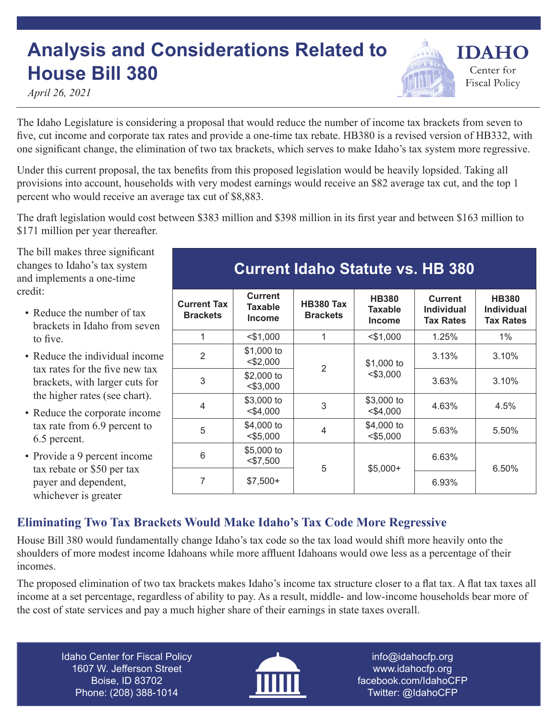## **Analysis and Considerations Related to House Bill 380**

*April 26, 2021*

The Idaho Legislature is considering a proposal that would reduce the number of income tax brackets from seven to five, cut income and corporate tax rates and provide a one-time tax rebate. HB380 is a revised version of HB332, with one significant change, the elimination of two tax brackets, which serves to make Idaho's tax system more regressive.

Under this current proposal, the tax benefits from this proposed legislation would be heavily lopsided. Taking all provisions into account, households with very modest earnings would receive an \$82 average tax cut, and the top 1 percent who would receive an average tax cut of \$8,883.

The draft legislation would cost between \$383 million and \$398 million in its first year and between \$163 million to \$171 million per year thereafter.

The bill makes three significant changes to Idaho's tax system and implements a one-time credit:

- Reduce the number of tax brackets in Idaho from seven to five.
- Reduce the individual income tax rates for the five new tax brackets, with larger cuts for the higher rates (see chart).
- Reduce the corporate income tax rate from 6.9 percent to 6.5 percent.
- Provide a 9 percent income tax rebate or \$50 per tax payer and dependent, whichever is greater

## **Current Idaho Statute vs. HB 380**

**IDAHO** 

Center for **Fiscal Policy** 

| <b>Current Tax</b><br><b>Brackets</b> | <b>Current</b><br>Taxable<br><b>Income</b> | <b>HB380 Tax</b><br><b>Brackets</b> | <b>HB380</b><br>Taxable<br><b>Income</b> | <b>Current</b><br><b>Individual</b><br><b>Tax Rates</b> | <b>HB380</b><br><b>Individual</b><br><b>Tax Rates</b> |  |
|---------------------------------------|--------------------------------------------|-------------------------------------|------------------------------------------|---------------------------------------------------------|-------------------------------------------------------|--|
| 1                                     | $<$ \$1,000                                | 1                                   | $<$ \$1,000                              | 1.25%                                                   | $1\%$                                                 |  |
| $\overline{2}$                        | \$1,000 to<br>$<$ \$2,000                  | 2                                   | \$1,000 to                               | 3.13%                                                   | 3.10%                                                 |  |
| 3                                     | \$2,000 to<br>$<$ \$3,000                  |                                     | $<$ \$3,000                              | 3.63%                                                   | 3.10%                                                 |  |
| $\overline{4}$                        | \$3,000 to<br>$<$ \$4,000                  | 3                                   | \$3,000 to<br>$<$ \$4,000                |                                                         | 4.5%                                                  |  |
| 5                                     | \$4,000 to<br>$<$ \$5,000                  | 4                                   | \$4,000 to<br>$<$ \$5,000                | 5.63%                                                   | 5.50%                                                 |  |
| 6                                     | \$5,000 to<br>$<$ \$7,500                  | 5                                   | $$5,000+$                                | 6.63%                                                   | 6.50%                                                 |  |
| 7                                     | $$7,500+$                                  |                                     |                                          | 6.93%                                                   |                                                       |  |

## **Eliminating Two Tax Brackets Would Make Idaho's Tax Code More Regressive**

House Bill 380 would fundamentally change Idaho's tax code so the tax load would shift more heavily onto the shoulders of more modest income Idahoans while more affluent Idahoans would owe less as a percentage of their incomes.

The proposed elimination of two tax brackets makes Idaho's income tax structure closer to a flat tax. A flat tax taxes all income at a set percentage, regardless of ability to pay. As a result, middle- and low-income households bear more of the cost of state services and pay a much higher share of their earnings in state taxes overall.

Idaho Center for Fiscal Policy 1607 W. Jefferson Street Boise, ID 83702 Phone: (208) 388-1014



info@idahocfp.org www.idahocfp.org facebook.com/IdahoCFP Twitter: @IdahoCFP